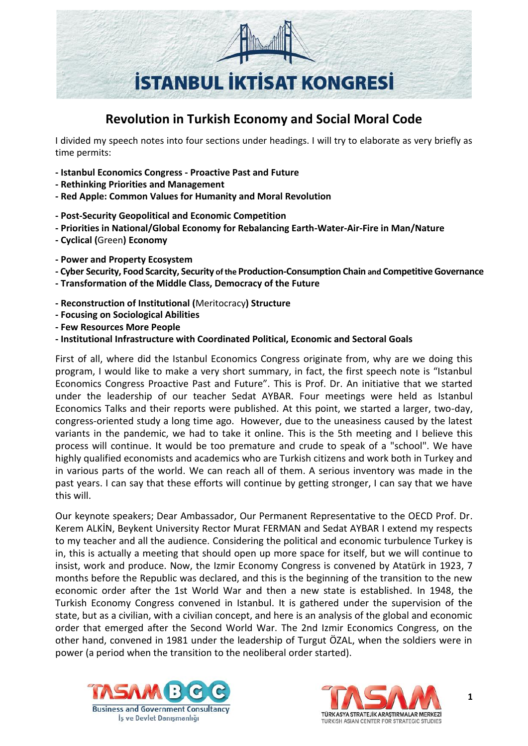

## **Revolution in Turkish Economy and Social Moral Code**

I divided my speech notes into four sections under headings. I will try to elaborate as very briefly as time permits:

- **- Istanbul Economics Congress - Proactive Past and Future**
- **- Rethinking Priorities and Management**
- **- Red Apple: Common Values for Humanity and Moral Revolution**
- **- Post-Security Geopolitical and Economic Competition**
- **- Priorities in National/Global Economy for Rebalancing Earth-Water-Air-Fire in Man/Nature**
- **- Cyclical (**Green**) Economy**
- **- Power and Property Ecosystem**
- **- Cyber Security, Food Scarcity, Security of the Production-Consumption Chain and CompetitiveGovernance**
- **- Transformation of the Middle Class, Democracy of the Future**
- **- Reconstruction of Institutional (**Meritocracy**) Structure**
- **- Focusing on Sociological Abilities**
- **- Few Resources More People**
- **- Institutional Infrastructure with Coordinated Political, Economic and Sectoral Goals**

First of all, where did the Istanbul Economics Congress originate from, why are we doing this program, I would like to make a very short summary, in fact, the first speech note is "Istanbul Economics Congress Proactive Past and Future". This is Prof. Dr. An initiative that we started under the leadership of our teacher Sedat AYBAR. Four meetings were held as Istanbul Economics Talks and their reports were published. At this point, we started a larger, two-day, congress-oriented study a long time ago. However, due to the uneasiness caused by the latest variants in the pandemic, we had to take it online. This is the 5th meeting and I believe this process will continue. It would be too premature and crude to speak of a "school". We have highly qualified economists and academics who are Turkish citizens and work both in Turkey and in various parts of the world. We can reach all of them. A serious inventory was made in the past years. I can say that these efforts will continue by getting stronger, I can say that we have this will.

Our keynote speakers; Dear Ambassador, Our Permanent Representative to the OECD Prof. Dr. Kerem ALKİN, Beykent University Rector Murat FERMAN and Sedat AYBAR I extend my respects to my teacher and all the audience. Considering the political and economic turbulence Turkey is in, this is actually a meeting that should open up more space for itself, but we will continue to insist, work and produce. Now, the Izmir Economy Congress is convened by Atatürk in 1923, 7 months before the Republic was declared, and this is the beginning of the transition to the new economic order after the 1st World War and then a new state is established. In 1948, the Turkish Economy Congress convened in Istanbul. It is gathered under the supervision of the state, but as a civilian, with a civilian concept, and here is an analysis of the global and economic order that emerged after the Second World War. The 2nd Izmir Economics Congress, on the other hand, convened in 1981 under the leadership of Turgut ÖZAL, when the soldiers were in power (a period when the transition to the neoliberal order started).



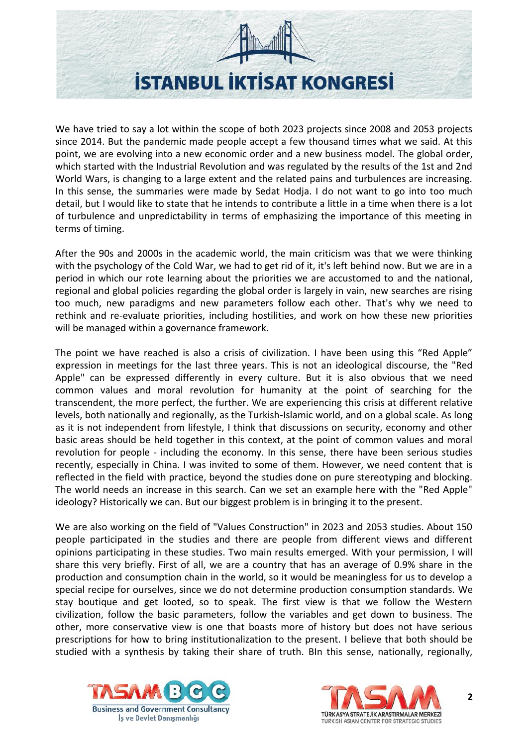

We have tried to say a lot within the scope of both 2023 projects since 2008 and 2053 projects since 2014. But the pandemic made people accept a few thousand times what we said. At this point, we are evolving into a new economic order and a new business model. The global order, which started with the Industrial Revolution and was regulated by the results of the 1st and 2nd World Wars, is changing to a large extent and the related pains and turbulences are increasing. In this sense, the summaries were made by Sedat Hodja. I do not want to go into too much detail, but I would like to state that he intends to contribute a little in a time when there is a lot of turbulence and unpredictability in terms of emphasizing the importance of this meeting in terms of timing.

After the 90s and 2000s in the academic world, the main criticism was that we were thinking with the psychology of the Cold War, we had to get rid of it, it's left behind now. But we are in a period in which our rote learning about the priorities we are accustomed to and the national, regional and global policies regarding the global order is largely in vain, new searches are rising too much, new paradigms and new parameters follow each other. That's why we need to rethink and re-evaluate priorities, including hostilities, and work on how these new priorities will be managed within a governance framework.

The point we have reached is also a crisis of civilization. I have been using this "Red Apple" expression in meetings for the last three years. This is not an ideological discourse, the "Red Apple" can be expressed differently in every culture. But it is also obvious that we need common values and moral revolution for humanity at the point of searching for the transcendent, the more perfect, the further. We are experiencing this crisis at different relative levels, both nationally and regionally, as the Turkish-Islamic world, and on a global scale. As long as it is not independent from lifestyle, I think that discussions on security, economy and other basic areas should be held together in this context, at the point of common values and moral revolution for people - including the economy. In this sense, there have been serious studies recently, especially in China. I was invited to some of them. However, we need content that is reflected in the field with practice, beyond the studies done on pure stereotyping and blocking. The world needs an increase in this search. Can we set an example here with the "Red Apple" ideology? Historically we can. But our biggest problem is in bringing it to the present.

We are also working on the field of "Values Construction" in 2023 and 2053 studies. About 150 people participated in the studies and there are people from different views and different opinions participating in these studies. Two main results emerged. With your permission, I will share this very briefly. First of all, we are a country that has an average of 0.9% share in the production and consumption chain in the world, so it would be meaningless for us to develop a special recipe for ourselves, since we do not determine production consumption standards. We stay boutique and get looted, so to speak. The first view is that we follow the Western civilization, follow the basic parameters, follow the variables and get down to business. The other, more conservative view is one that boasts more of history but does not have serious prescriptions for how to bring institutionalization to the present. I believe that both should be studied with a synthesis by taking their share of truth. BIn this sense, nationally, regionally,



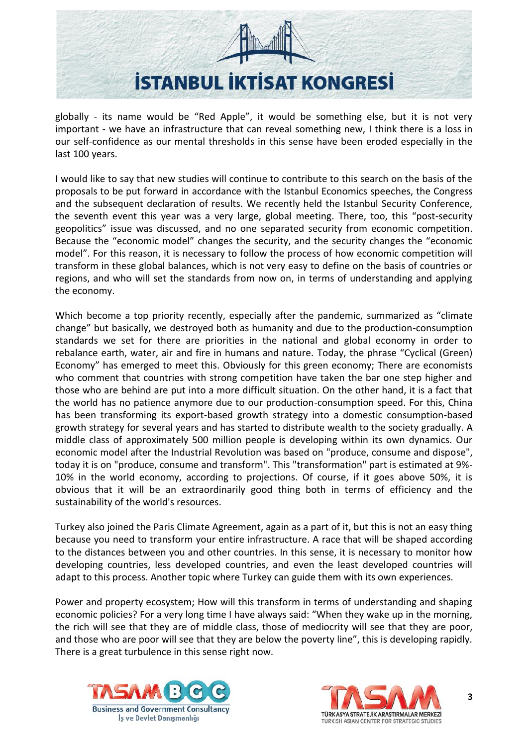

globally - its name would be "Red Apple", it would be something else, but it is not very important - we have an infrastructure that can reveal something new, I think there is a loss in our self-confidence as our mental thresholds in this sense have been eroded especially in the last 100 years.

I would like to say that new studies will continue to contribute to this search on the basis of the proposals to be put forward in accordance with the Istanbul Economics speeches, the Congress and the subsequent declaration of results. We recently held the Istanbul Security Conference, the seventh event this year was a very large, global meeting. There, too, this "post-security geopolitics" issue was discussed, and no one separated security from economic competition. Because the "economic model" changes the security, and the security changes the "economic model". For this reason, it is necessary to follow the process of how economic competition will transform in these global balances, which is not very easy to define on the basis of countries or regions, and who will set the standards from now on, in terms of understanding and applying the economy.

Which become a top priority recently, especially after the pandemic, summarized as "climate change" but basically, we destroyed both as humanity and due to the production-consumption standards we set for there are priorities in the national and global economy in order to rebalance earth, water, air and fire in humans and nature. Today, the phrase "Cyclical (Green) Economy" has emerged to meet this. Obviously for this green economy; There are economists who comment that countries with strong competition have taken the bar one step higher and those who are behind are put into a more difficult situation. On the other hand, it is a fact that the world has no patience anymore due to our production-consumption speed. For this, China has been transforming its export-based growth strategy into a domestic consumption-based growth strategy for several years and has started to distribute wealth to the society gradually. A middle class of approximately 500 million people is developing within its own dynamics. Our economic model after the Industrial Revolution was based on "produce, consume and dispose", today it is on "produce, consume and transform". This "transformation" part is estimated at 9%- 10% in the world economy, according to projections. Of course, if it goes above 50%, it is obvious that it will be an extraordinarily good thing both in terms of efficiency and the sustainability of the world's resources.

Turkey also joined the Paris Climate Agreement, again as a part of it, but this is not an easy thing because you need to transform your entire infrastructure. A race that will be shaped according to the distances between you and other countries. In this sense, it is necessary to monitor how developing countries, less developed countries, and even the least developed countries will adapt to this process. Another topic where Turkey can guide them with its own experiences.

Power and property ecosystem; How will this transform in terms of understanding and shaping economic policies? For a very long time I have always said: "When they wake up in the morning, the rich will see that they are of middle class, those of mediocrity will see that they are poor, and those who are poor will see that they are below the poverty line", this is developing rapidly. There is a great turbulence in this sense right now.



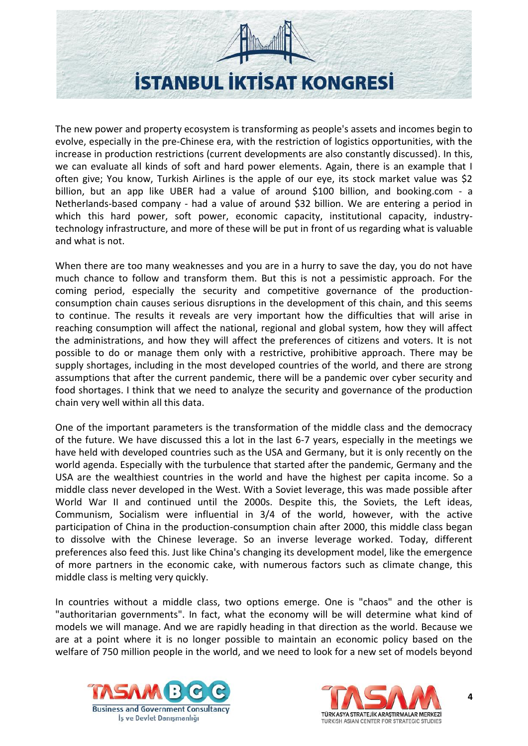

The new power and property ecosystem is transforming as people's assets and incomes begin to evolve, especially in the pre-Chinese era, with the restriction of logistics opportunities, with the increase in production restrictions (current developments are also constantly discussed). In this, we can evaluate all kinds of soft and hard power elements. Again, there is an example that I often give; You know, Turkish Airlines is the apple of our eye, its stock market value was \$2 billion, but an app like UBER had a value of around \$100 billion, and booking.com - a Netherlands-based company - had a value of around \$32 billion. We are entering a period in which this hard power, soft power, economic capacity, institutional capacity, industrytechnology infrastructure, and more of these will be put in front of us regarding what is valuable and what is not.

When there are too many weaknesses and you are in a hurry to save the day, you do not have much chance to follow and transform them. But this is not a pessimistic approach. For the coming period, especially the security and competitive governance of the productionconsumption chain causes serious disruptions in the development of this chain, and this seems to continue. The results it reveals are very important how the difficulties that will arise in reaching consumption will affect the national, regional and global system, how they will affect the administrations, and how they will affect the preferences of citizens and voters. It is not possible to do or manage them only with a restrictive, prohibitive approach. There may be supply shortages, including in the most developed countries of the world, and there are strong assumptions that after the current pandemic, there will be a pandemic over cyber security and food shortages. I think that we need to analyze the security and governance of the production chain very well within all this data.

One of the important parameters is the transformation of the middle class and the democracy of the future. We have discussed this a lot in the last 6-7 years, especially in the meetings we have held with developed countries such as the USA and Germany, but it is only recently on the world agenda. Especially with the turbulence that started after the pandemic, Germany and the USA are the wealthiest countries in the world and have the highest per capita income. So a middle class never developed in the West. With a Soviet leverage, this was made possible after World War II and continued until the 2000s. Despite this, the Soviets, the Left ideas, Communism, Socialism were influential in 3/4 of the world, however, with the active participation of China in the production-consumption chain after 2000, this middle class began to dissolve with the Chinese leverage. So an inverse leverage worked. Today, different preferences also feed this. Just like China's changing its development model, like the emergence of more partners in the economic cake, with numerous factors such as climate change, this middle class is melting very quickly.

In countries without a middle class, two options emerge. One is "chaos" and the other is "authoritarian governments". In fact, what the economy will be will determine what kind of models we will manage. And we are rapidly heading in that direction as the world. Because we are at a point where it is no longer possible to maintain an economic policy based on the welfare of 750 million people in the world, and we need to look for a new set of models beyond



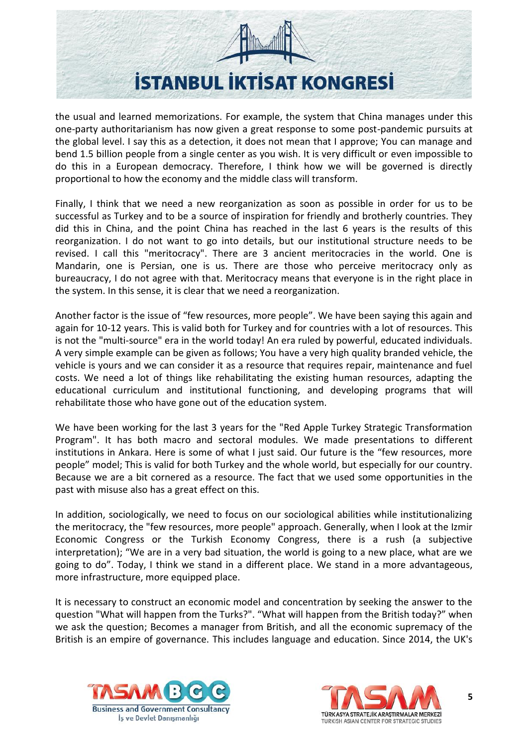

the usual and learned memorizations. For example, the system that China manages under this one-party authoritarianism has now given a great response to some post-pandemic pursuits at the global level. I say this as a detection, it does not mean that I approve; You can manage and bend 1.5 billion people from a single center as you wish. It is very difficult or even impossible to do this in a European democracy. Therefore, I think how we will be governed is directly proportional to how the economy and the middle class will transform.

Finally, I think that we need a new reorganization as soon as possible in order for us to be successful as Turkey and to be a source of inspiration for friendly and brotherly countries. They did this in China, and the point China has reached in the last 6 years is the results of this reorganization. I do not want to go into details, but our institutional structure needs to be revised. I call this "meritocracy". There are 3 ancient meritocracies in the world. One is Mandarin, one is Persian, one is us. There are those who perceive meritocracy only as bureaucracy, I do not agree with that. Meritocracy means that everyone is in the right place in the system. In this sense, it is clear that we need a reorganization.

Another factor is the issue of "few resources, more people". We have been saying this again and again for 10-12 years. This is valid both for Turkey and for countries with a lot of resources. This is not the "multi-source" era in the world today! An era ruled by powerful, educated individuals. A very simple example can be given as follows; You have a very high quality branded vehicle, the vehicle is yours and we can consider it as a resource that requires repair, maintenance and fuel costs. We need a lot of things like rehabilitating the existing human resources, adapting the educational curriculum and institutional functioning, and developing programs that will rehabilitate those who have gone out of the education system.

We have been working for the last 3 years for the "Red Apple Turkey Strategic Transformation Program". It has both macro and sectoral modules. We made presentations to different institutions in Ankara. Here is some of what I just said. Our future is the "few resources, more people" model; This is valid for both Turkey and the whole world, but especially for our country. Because we are a bit cornered as a resource. The fact that we used some opportunities in the past with misuse also has a great effect on this.

In addition, sociologically, we need to focus on our sociological abilities while institutionalizing the meritocracy, the "few resources, more people" approach. Generally, when I look at the Izmir Economic Congress or the Turkish Economy Congress, there is a rush (a subjective interpretation); "We are in a very bad situation, the world is going to a new place, what are we going to do". Today, I think we stand in a different place. We stand in a more advantageous, more infrastructure, more equipped place.

It is necessary to construct an economic model and concentration by seeking the answer to the question "What will happen from the Turks?". "What will happen from the British today?" when we ask the question; Becomes a manager from British, and all the economic supremacy of the British is an empire of governance. This includes language and education. Since 2014, the UK's